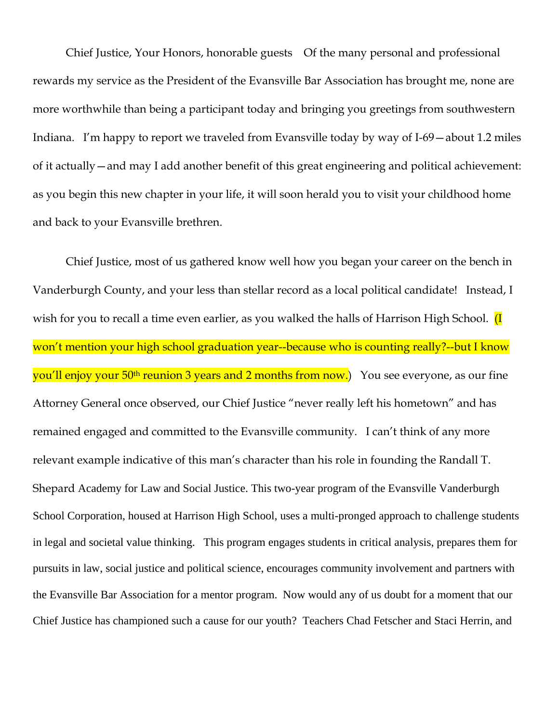Chief Justice, Your Honors, honorable guests Of the many personal and professional rewards my service as the President of the Evansville Bar Association has brought me, none are more worthwhile than being a participant today and bringing you greetings from southwestern Indiana. I'm happy to report we traveled from Evansville today by way of I-69—about 1.2 miles of it actually—and may I add another benefit of this great engineering and political achievement: as you begin this new chapter in your life, it will soon herald you to visit your childhood home and back to your Evansville brethren.

Chief Justice, most of us gathered know well how you began your career on the bench in Vanderburgh County, and your less than stellar record as a local political candidate! Instead, I wish for you to recall a time even earlier, as you walked the halls of Harrison High School. *(I* won't mention your high school graduation year--because who is counting really?--but I know you'll enjoy your 50<sup>th</sup> reunion 3 years and 2 months from now.) You see everyone, as our fine Attorney General once observed, our Chief Justice "never really left his hometown" and has remained engaged and committed to the Evansville community. I can't think of any more relevant example indicative of this man's character than his role in founding the Randall T. Shepard Academy for Law and Social Justice. This two-year program of the Evansville Vanderburgh School Corporation, housed at Harrison High School, uses a multi-pronged approach to challenge students in legal and societal value thinking. This program engages students in critical analysis, prepares them for pursuits in law, social justice and political science, encourages community involvement and partners with the Evansville Bar Association for a mentor program. Now would any of us doubt for a moment that our Chief Justice has championed such a cause for our youth? Teachers Chad Fetscher and Staci Herrin, and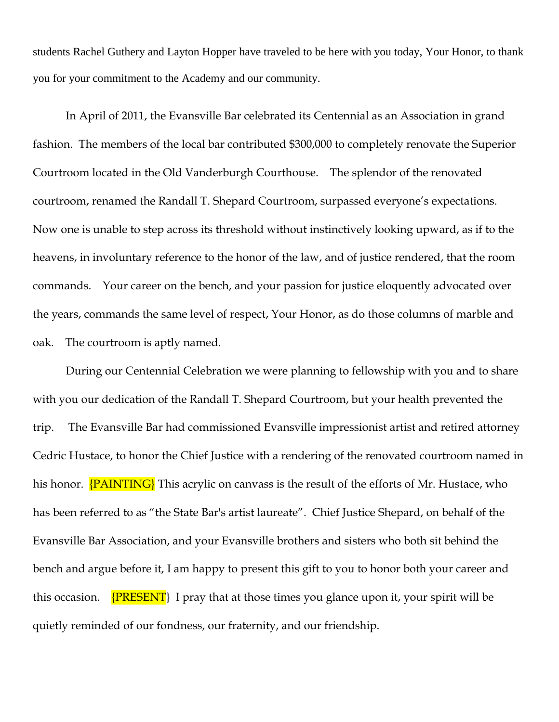students Rachel Guthery and Layton Hopper have traveled to be here with you today, Your Honor, to thank you for your commitment to the Academy and our community.

In April of 2011, the Evansville Bar celebrated its Centennial as an Association in grand fashion. The members of the local bar contributed \$300,000 to completely renovate the Superior Courtroom located in the Old Vanderburgh Courthouse. The splendor of the renovated courtroom, renamed the Randall T. Shepard Courtroom, surpassed everyone's expectations. Now one is unable to step across its threshold without instinctively looking upward, as if to the heavens, in involuntary reference to the honor of the law, and of justice rendered, that the room commands. Your career on the bench, and your passion for justice eloquently advocated over the years, commands the same level of respect, Your Honor, as do those columns of marble and oak. The courtroom is aptly named.

During our Centennial Celebration we were planning to fellowship with you and to share with you our dedication of the Randall T. Shepard Courtroom, but your health prevented the trip. The Evansville Bar had commissioned Evansville impressionist artist and retired attorney Cedric Hustace, to honor the Chief Justice with a rendering of the renovated courtroom named in his honor. **{PAINTING}** This acrylic on canvass is the result of the efforts of Mr. Hustace, who has been referred to as "the State Bar's artist laureate". Chief Justice Shepard, on behalf of the Evansville Bar Association, and your Evansville brothers and sisters who both sit behind the bench and argue before it, I am happy to present this gift to you to honor both your career and this occasion.  ${PRESENT}$  I pray that at those times you glance upon it, your spirit will be quietly reminded of our fondness, our fraternity, and our friendship.